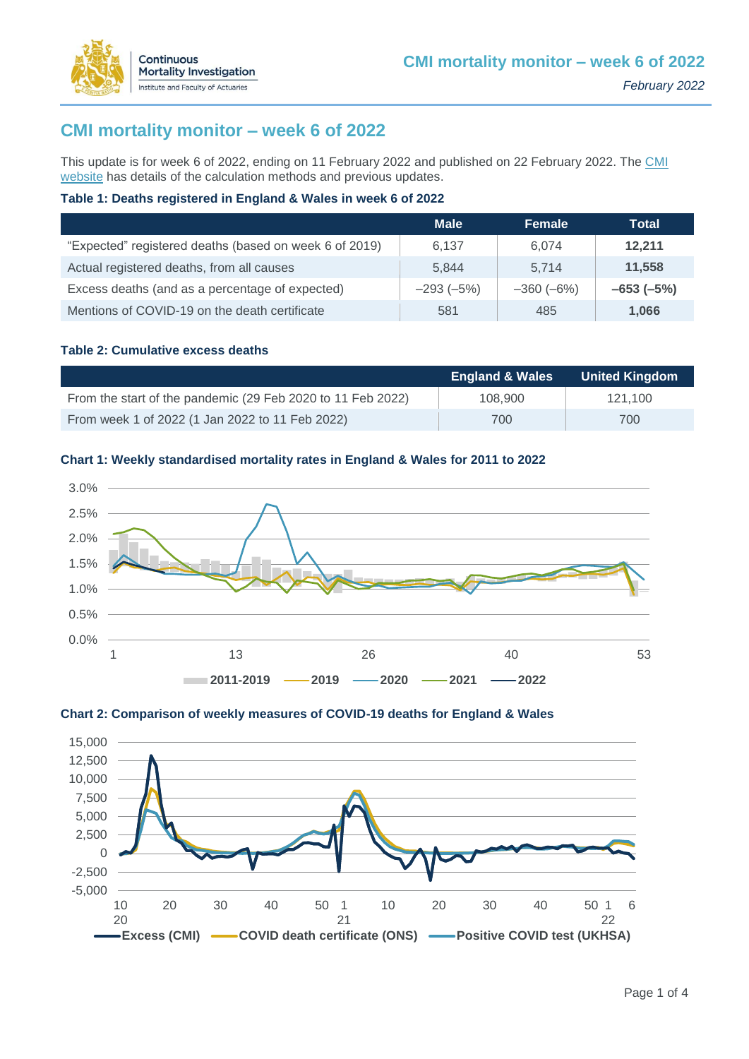

This update is for week 6 of 2022, ending on 11 February 2022 and published on 22 February 2022. The CMI [website](https://www.actuaries.org.uk/learn-and-develop/continuous-mortality-investigation/other-cmi-outputs/mortality-monitor) has details of the calculation methods and previous updates.

### **Table 1: Deaths registered in England & Wales in week 6 of 2022**

|                                                        | <b>Male</b> | Female      | Total       |
|--------------------------------------------------------|-------------|-------------|-------------|
| "Expected" registered deaths (based on week 6 of 2019) | 6.137       | 6.074       | 12.211      |
| Actual registered deaths, from all causes              | 5.844       | 5.714       | 11,558      |
| Excess deaths (and as a percentage of expected)        | $-293(-5%)$ | $-360(-6%)$ | $-653(-5%)$ |
| Mentions of COVID-19 on the death certificate          | 581         | 485         | 1,066       |

### **Table 2: Cumulative excess deaths**

Continuous

**Mortality Investigation** Institute and Faculty of Actuaries

|                                                             | <b>England &amp; Wales</b> | <b>United Kingdom</b> |
|-------------------------------------------------------------|----------------------------|-----------------------|
| From the start of the pandemic (29 Feb 2020 to 11 Feb 2022) | 108,900                    | 121.100               |
| From week 1 of 2022 (1 Jan 2022 to 11 Feb 2022)             | 700                        | 700                   |

### **Chart 1: Weekly standardised mortality rates in England & Wales for 2011 to 2022**





#### **Chart 2: Comparison of weekly measures of COVID-19 deaths for England & Wales**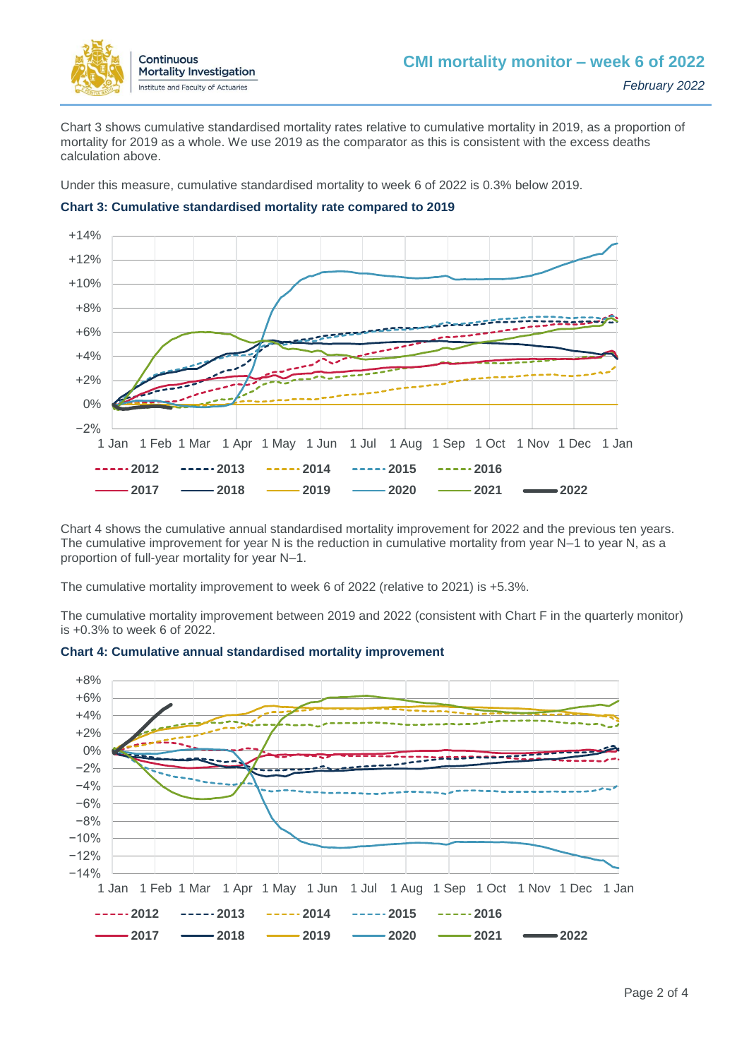

Chart 3 shows cumulative standardised mortality rates relative to cumulative mortality in 2019, as a proportion of mortality for 2019 as a whole. We use 2019 as the comparator as this is consistent with the excess deaths calculation above.

Under this measure, cumulative standardised mortality to week 6 of 2022 is 0.3% below 2019.



#### **Chart 3: Cumulative standardised mortality rate compared to 2019**

Chart 4 shows the cumulative annual standardised mortality improvement for 2022 and the previous ten years. The cumulative improvement for year N is the reduction in cumulative mortality from year N–1 to year N, as a proportion of full-year mortality for year N–1.

The cumulative mortality improvement to week 6 of 2022 (relative to 2021) is +5.3%.

The cumulative mortality improvement between 2019 and 2022 (consistent with Chart F in the quarterly monitor) is +0.3% to week 6 of 2022.



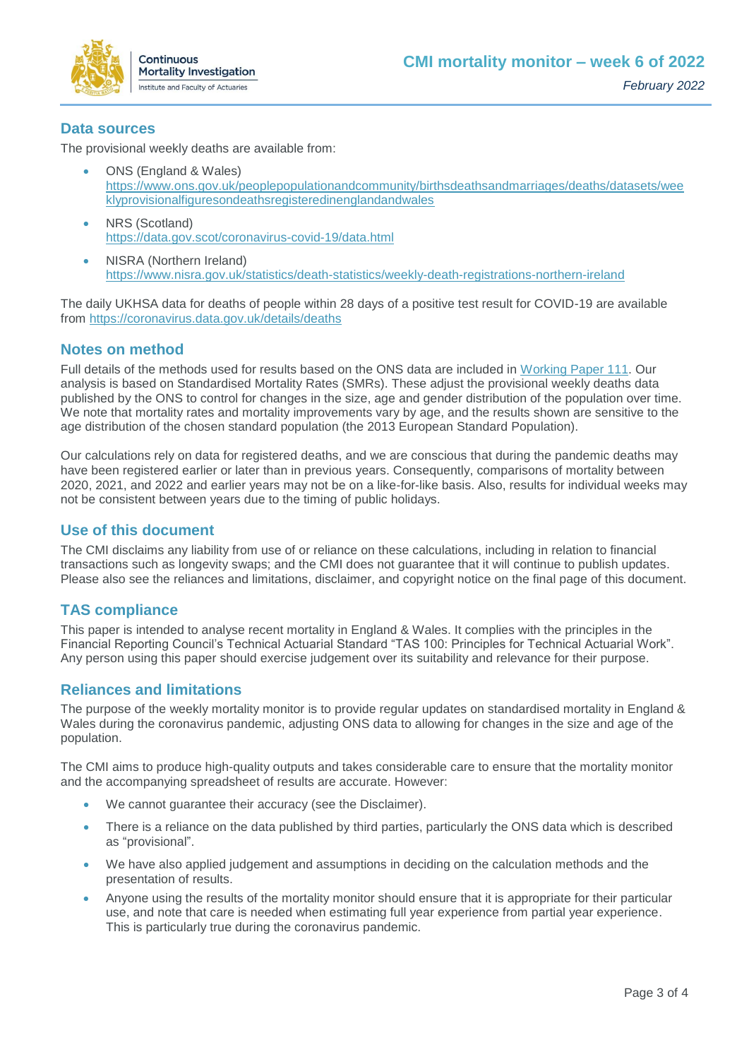

## **Data sources**

The provisional weekly deaths are available from:

- ONS (England & Wales) [https://www.ons.gov.uk/peoplepopulationandcommunity/birthsdeathsandmarriages/deaths/datasets/wee](https://www.ons.gov.uk/peoplepopulationandcommunity/birthsdeathsandmarriages/deaths/datasets/weeklyprovisionalfiguresondeathsregisteredinenglandandwales) [klyprovisionalfiguresondeathsregisteredinenglandandwales](https://www.ons.gov.uk/peoplepopulationandcommunity/birthsdeathsandmarriages/deaths/datasets/weeklyprovisionalfiguresondeathsregisteredinenglandandwales)
- NRS (Scotland) <https://data.gov.scot/coronavirus-covid-19/data.html>
- NISRA (Northern Ireland) <https://www.nisra.gov.uk/statistics/death-statistics/weekly-death-registrations-northern-ireland>

The daily UKHSA data for deaths of people within 28 days of a positive test result for COVID-19 are available from<https://coronavirus.data.gov.uk/details/deaths>

# **Notes on method**

Full details of the methods used for results based on the ONS data are included in [Working Paper 111.](https://www.actuaries.org.uk/learn-and-develop/continuous-mortality-investigation/cmi-working-papers/mortality-projections/cmi-working-paper-111) Our analysis is based on Standardised Mortality Rates (SMRs). These adjust the provisional weekly deaths data published by the ONS to control for changes in the size, age and gender distribution of the population over time. We note that mortality rates and mortality improvements vary by age, and the results shown are sensitive to the age distribution of the chosen standard population (the 2013 European Standard Population).

Our calculations rely on data for registered deaths, and we are conscious that during the pandemic deaths may have been registered earlier or later than in previous years. Consequently, comparisons of mortality between 2020, 2021, and 2022 and earlier years may not be on a like-for-like basis. Also, results for individual weeks may not be consistent between years due to the timing of public holidays.

## **Use of this document**

The CMI disclaims any liability from use of or reliance on these calculations, including in relation to financial transactions such as longevity swaps; and the CMI does not guarantee that it will continue to publish updates. Please also see the reliances and limitations, disclaimer, and copyright notice on the final page of this document.

# **TAS compliance**

This paper is intended to analyse recent mortality in England & Wales. It complies with the principles in the Financial Reporting Council's Technical Actuarial Standard "TAS 100: Principles for Technical Actuarial Work". Any person using this paper should exercise judgement over its suitability and relevance for their purpose.

# **Reliances and limitations**

The purpose of the weekly mortality monitor is to provide regular updates on standardised mortality in England & Wales during the coronavirus pandemic, adjusting ONS data to allowing for changes in the size and age of the population.

The CMI aims to produce high-quality outputs and takes considerable care to ensure that the mortality monitor and the accompanying spreadsheet of results are accurate. However:

- We cannot guarantee their accuracy (see the Disclaimer).
- There is a reliance on the data published by third parties, particularly the ONS data which is described as "provisional".
- We have also applied judgement and assumptions in deciding on the calculation methods and the presentation of results.
- Anyone using the results of the mortality monitor should ensure that it is appropriate for their particular use, and note that care is needed when estimating full year experience from partial year experience. This is particularly true during the coronavirus pandemic.